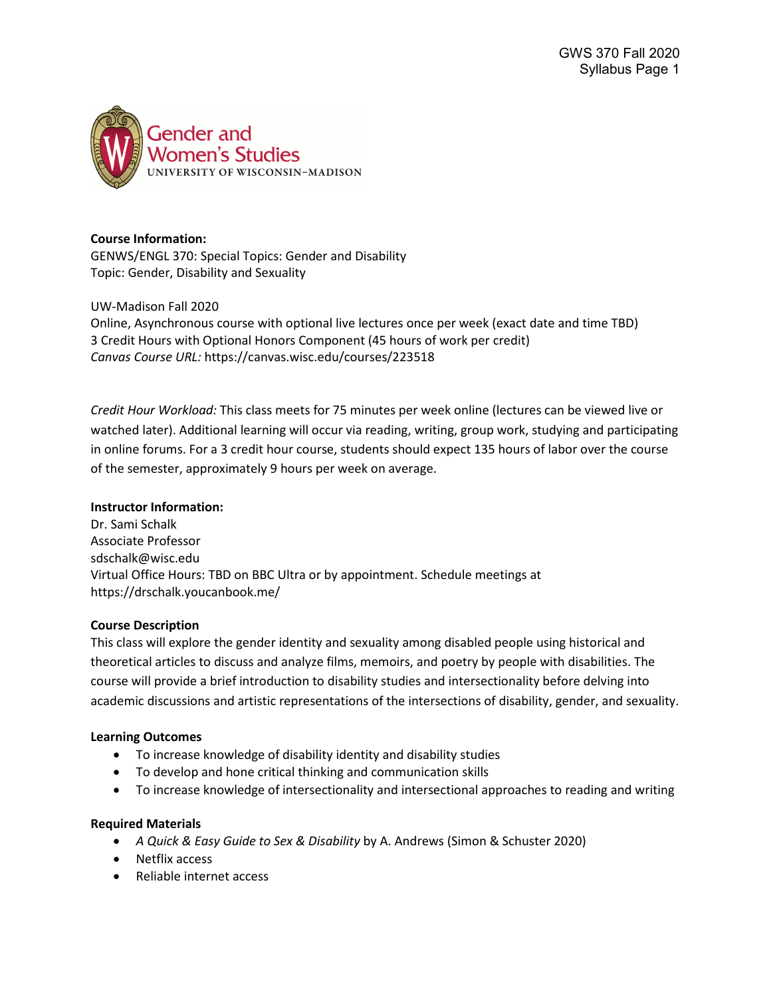

### **Course Information:**

GENWS/ENGL 370: Special Topics: Gender and Disability Topic: Gender, Disability and Sexuality

UW-Madison Fall 2020

Online, Asynchronous course with optional live lectures once per week (exact date and time TBD) 3 Credit Hours with Optional Honors Component (45 hours of work per credit) *Canvas Course URL:* https://canvas.wisc.edu/courses/223518

*Credit Hour Workload:* This class meets for 75 minutes per week online (lectures can be viewed live or watched later). Additional learning will occur via reading, writing, group work, studying and participating in online forums. For a 3 credit hour course, students should expect 135 hours of labor over the course of the semester, approximately 9 hours per week on average.

#### **Instructor Information:**

Dr. Sami Schalk Associate Professor sdschalk@wisc.edu Virtual Office Hours: TBD on BBC Ultra or by appointment. Schedule meetings at https://drschalk.youcanbook.me/

### **Course Description**

This class will explore the gender identity and sexuality among disabled people using historical and theoretical articles to discuss and analyze films, memoirs, and poetry by people with disabilities. The course will provide a brief introduction to disability studies and intersectionality before delving into academic discussions and artistic representations of the intersections of disability, gender, and sexuality.

#### **Learning Outcomes**

- To increase knowledge of disability identity and disability studies
- To develop and hone critical thinking and communication skills
- To increase knowledge of intersectionality and intersectional approaches to reading and writing

### **Required Materials**

- *A Quick & Easy Guide to Sex & Disability* by A. Andrews (Simon & Schuster 2020)
- Netflix access
- Reliable internet access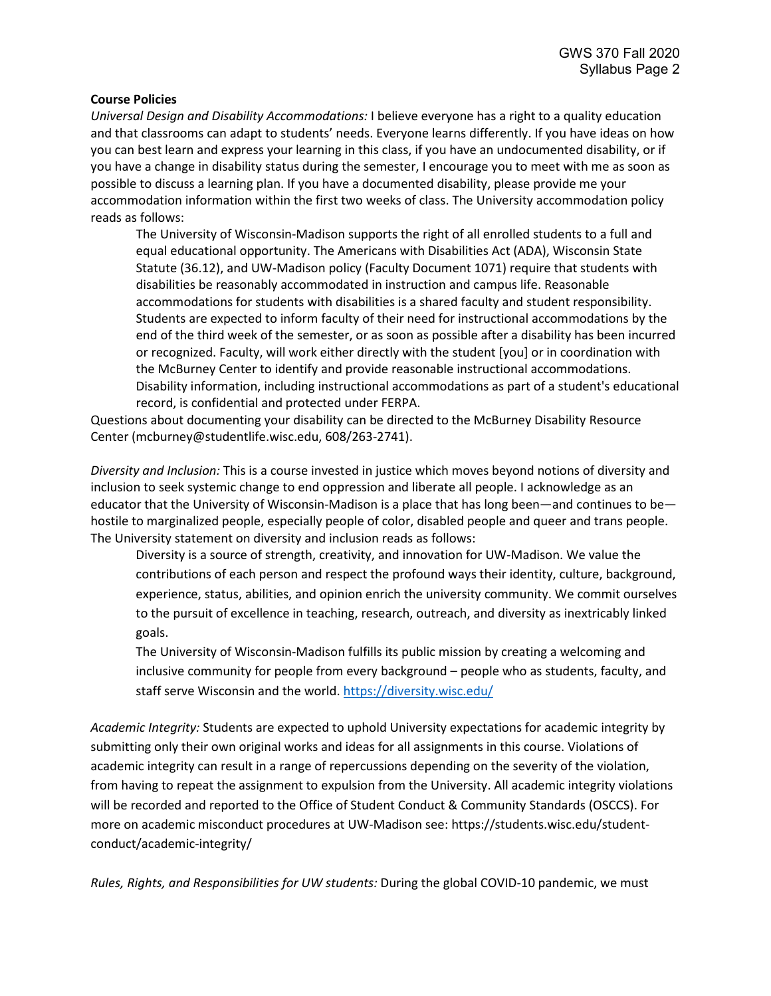### **Course Policies**

*Universal Design and Disability Accommodations:* I believe everyone has a right to a quality education and that classrooms can adapt to students' needs. Everyone learns differently. If you have ideas on how you can best learn and express your learning in this class, if you have an undocumented disability, or if you have a change in disability status during the semester, I encourage you to meet with me as soon as possible to discuss a learning plan. If you have a documented disability, please provide me your accommodation information within the first two weeks of class. The University accommodation policy reads as follows:

The University of Wisconsin-Madison supports the right of all enrolled students to a full and equal educational opportunity. The Americans with Disabilities Act (ADA), Wisconsin State Statute (36.12), and UW-Madison policy (Faculty Document 1071) require that students with disabilities be reasonably accommodated in instruction and campus life. Reasonable accommodations for students with disabilities is a shared faculty and student responsibility. Students are expected to inform faculty of their need for instructional accommodations by the end of the third week of the semester, or as soon as possible after a disability has been incurred or recognized. Faculty, will work either directly with the student [you] or in coordination with the McBurney Center to identify and provide reasonable instructional accommodations. Disability information, including instructional accommodations as part of a student's educational record, is confidential and protected under FERPA.

Questions about documenting your disability can be directed to the McBurney Disability Resource Center (mcburney@studentlife.wisc.edu, 608/263-2741).

*Diversity and Inclusion:* This is a course invested in justice which moves beyond notions of diversity and inclusion to seek systemic change to end oppression and liberate all people. I acknowledge as an educator that the University of Wisconsin-Madison is a place that has long been—and continues to be hostile to marginalized people, especially people of color, disabled people and queer and trans people. The University statement on diversity and inclusion reads as follows:

Diversity is a source of strength, creativity, and innovation for UW-Madison. We value the contributions of each person and respect the profound ways their identity, culture, background, experience, status, abilities, and opinion enrich the university community. We commit ourselves to the pursuit of excellence in teaching, research, outreach, and diversity as inextricably linked goals.

The University of Wisconsin-Madison fulfills its public mission by creating a welcoming and inclusive community for people from every background – people who as students, faculty, and staff serve Wisconsin and the world. <https://diversity.wisc.edu/>

*Academic Integrity:* Students are expected to uphold University expectations for academic integrity by submitting only their own original works and ideas for all assignments in this course. Violations of academic integrity can result in a range of repercussions depending on the severity of the violation, from having to repeat the assignment to expulsion from the University. All academic integrity violations will be recorded and reported to the Office of Student Conduct & Community Standards (OSCCS). For more on academic misconduct procedures at UW-Madison see: https://students.wisc.edu/studentconduct/academic-integrity/

*Rules, Rights, and Responsibilities for UW students:* During the global COVID-10 pandemic, we must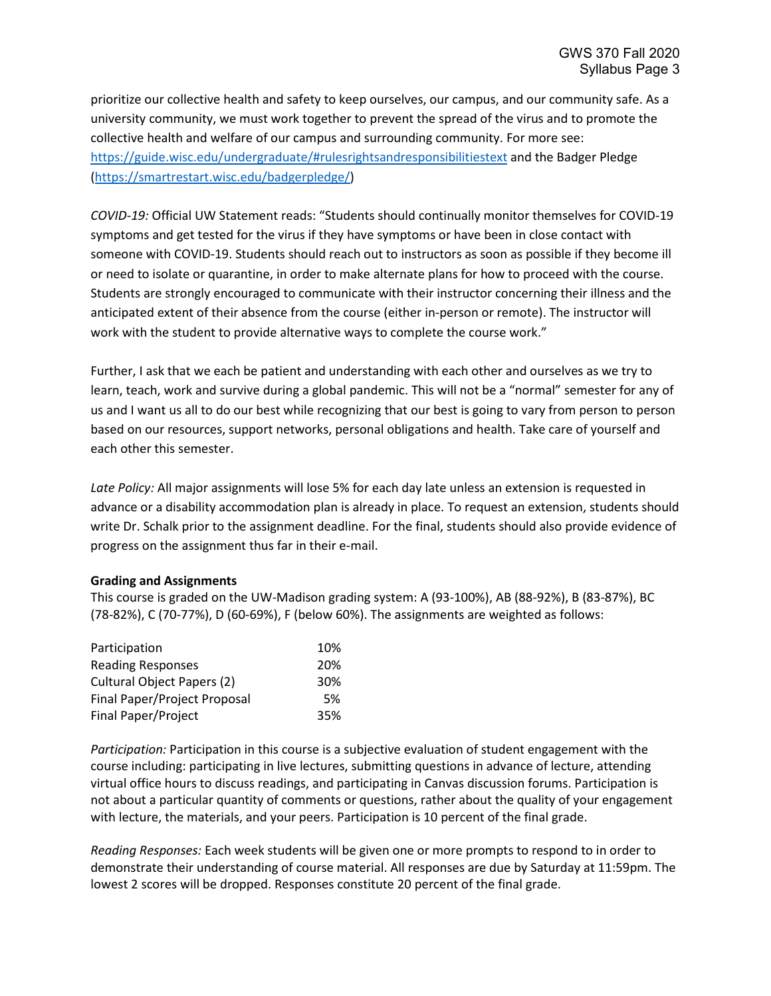prioritize our collective health and safety to keep ourselves, our campus, and our community safe. As a university community, we must work together to prevent the spread of the virus and to promote the collective health and welfare of our campus and surrounding community. For more see: <https://guide.wisc.edu/undergraduate/#rulesrightsandresponsibilitiestext> and the Badger Pledge [\(https://smartrestart.wisc.edu/badgerpledge/\)](https://smartrestart.wisc.edu/badgerpledge/)

*COVID-19:* Official UW Statement reads: "Students should continually monitor themselves for COVID-19 symptoms and get tested for the virus if they have symptoms or have been in close contact with someone with COVID-19. Students should reach out to instructors as soon as possible if they become ill or need to isolate or quarantine, in order to make alternate plans for how to proceed with the course. Students are strongly encouraged to communicate with their instructor concerning their illness and the anticipated extent of their absence from the course (either in-person or remote). The instructor will work with the student to provide alternative ways to complete the course work."

Further, I ask that we each be patient and understanding with each other and ourselves as we try to learn, teach, work and survive during a global pandemic. This will not be a "normal" semester for any of us and I want us all to do our best while recognizing that our best is going to vary from person to person based on our resources, support networks, personal obligations and health. Take care of yourself and each other this semester.

*Late Policy:* All major assignments will lose 5% for each day late unless an extension is requested in advance or a disability accommodation plan is already in place. To request an extension, students should write Dr. Schalk prior to the assignment deadline. For the final, students should also provide evidence of progress on the assignment thus far in their e-mail.

### **Grading and Assignments**

This course is graded on the UW-Madison grading system: A (93-100%), AB (88-92%), B (83-87%), BC (78-82%), C (70-77%), D (60-69%), F (below 60%). The assignments are weighted as follows:

| Participation                     | 10% |
|-----------------------------------|-----|
| <b>Reading Responses</b>          | 20% |
| <b>Cultural Object Papers (2)</b> | 30% |
| Final Paper/Project Proposal      | .5% |
| Final Paper/Project               | 35% |

*Participation:* Participation in this course is a subjective evaluation of student engagement with the course including: participating in live lectures, submitting questions in advance of lecture, attending virtual office hours to discuss readings, and participating in Canvas discussion forums. Participation is not about a particular quantity of comments or questions, rather about the quality of your engagement with lecture, the materials, and your peers. Participation is 10 percent of the final grade.

*Reading Responses:* Each week students will be given one or more prompts to respond to in order to demonstrate their understanding of course material. All responses are due by Saturday at 11:59pm. The lowest 2 scores will be dropped. Responses constitute 20 percent of the final grade.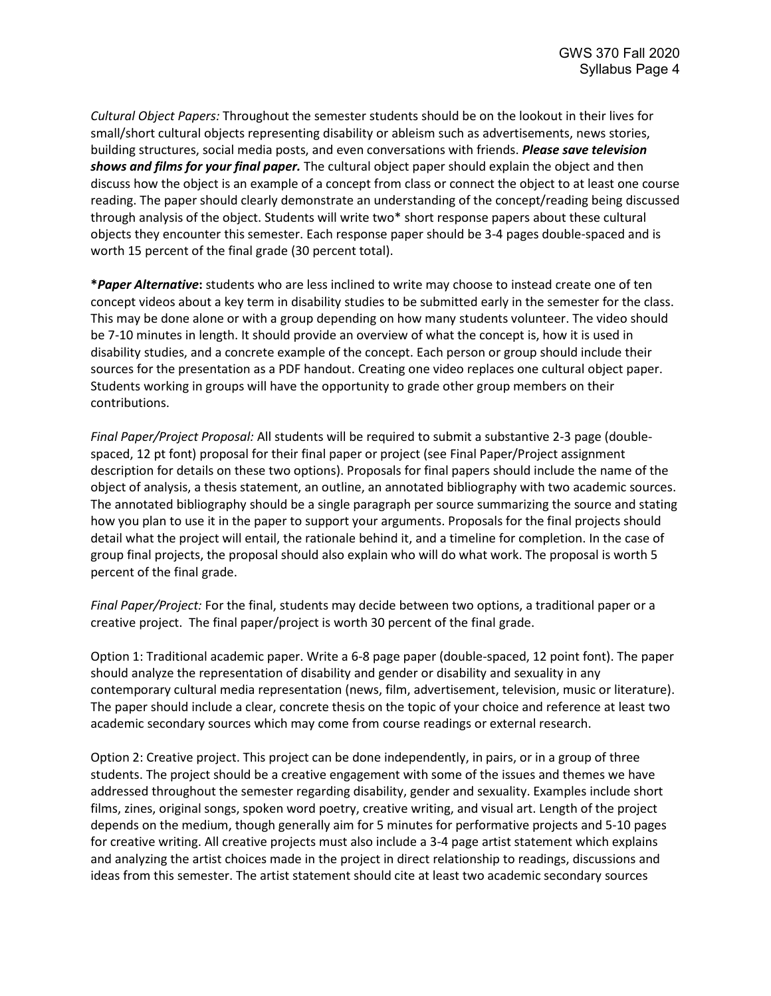*Cultural Object Papers:* Throughout the semester students should be on the lookout in their lives for small/short cultural objects representing disability or ableism such as advertisements, news stories, building structures, social media posts, and even conversations with friends. *Please save television shows and films for your final paper.* The cultural object paper should explain the object and then discuss how the object is an example of a concept from class or connect the object to at least one course reading. The paper should clearly demonstrate an understanding of the concept/reading being discussed through analysis of the object. Students will write two\* short response papers about these cultural objects they encounter this semester. Each response paper should be 3-4 pages double-spaced and is worth 15 percent of the final grade (30 percent total).

**\****Paper Alternative***:** students who are less inclined to write may choose to instead create one of ten concept videos about a key term in disability studies to be submitted early in the semester for the class. This may be done alone or with a group depending on how many students volunteer. The video should be 7-10 minutes in length. It should provide an overview of what the concept is, how it is used in disability studies, and a concrete example of the concept. Each person or group should include their sources for the presentation as a PDF handout. Creating one video replaces one cultural object paper. Students working in groups will have the opportunity to grade other group members on their contributions.

*Final Paper/Project Proposal:* All students will be required to submit a substantive 2-3 page (doublespaced, 12 pt font) proposal for their final paper or project (see Final Paper/Project assignment description for details on these two options). Proposals for final papers should include the name of the object of analysis, a thesis statement, an outline, an annotated bibliography with two academic sources. The annotated bibliography should be a single paragraph per source summarizing the source and stating how you plan to use it in the paper to support your arguments. Proposals for the final projects should detail what the project will entail, the rationale behind it, and a timeline for completion. In the case of group final projects, the proposal should also explain who will do what work. The proposal is worth 5 percent of the final grade.

*Final Paper/Project:* For the final, students may decide between two options, a traditional paper or a creative project. The final paper/project is worth 30 percent of the final grade.

Option 1: Traditional academic paper. Write a 6-8 page paper (double-spaced, 12 point font). The paper should analyze the representation of disability and gender or disability and sexuality in any contemporary cultural media representation (news, film, advertisement, television, music or literature). The paper should include a clear, concrete thesis on the topic of your choice and reference at least two academic secondary sources which may come from course readings or external research.

Option 2: Creative project. This project can be done independently, in pairs, or in a group of three students. The project should be a creative engagement with some of the issues and themes we have addressed throughout the semester regarding disability, gender and sexuality. Examples include short films, zines, original songs, spoken word poetry, creative writing, and visual art. Length of the project depends on the medium, though generally aim for 5 minutes for performative projects and 5-10 pages for creative writing. All creative projects must also include a 3-4 page artist statement which explains and analyzing the artist choices made in the project in direct relationship to readings, discussions and ideas from this semester. The artist statement should cite at least two academic secondary sources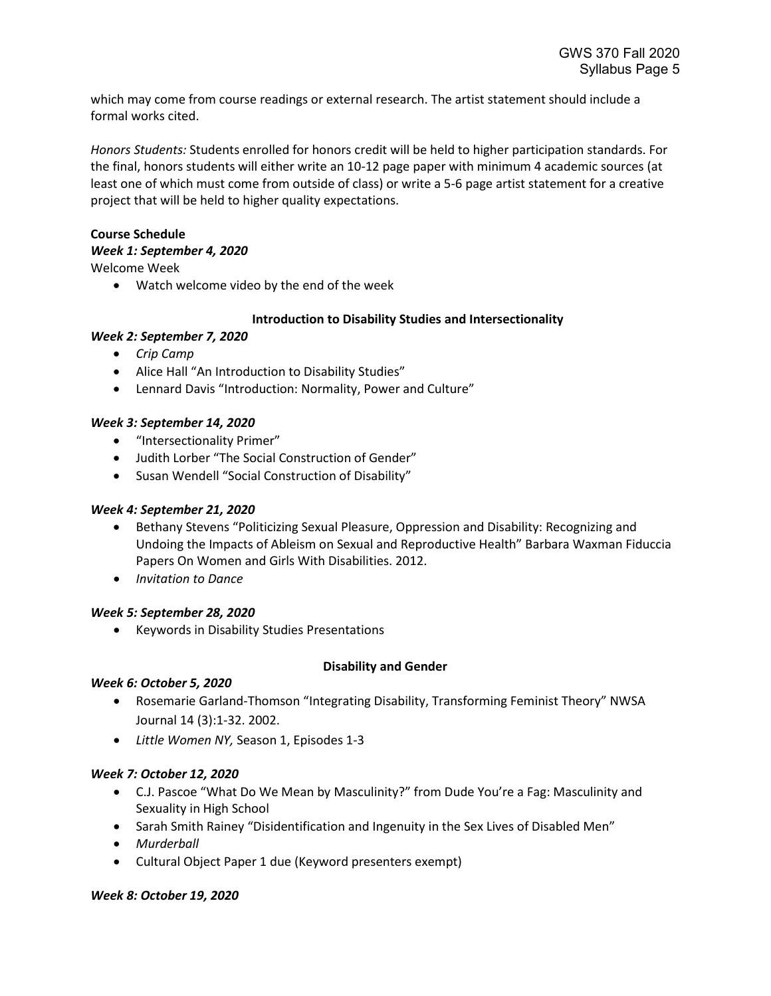which may come from course readings or external research. The artist statement should include a formal works cited.

*Honors Students:* Students enrolled for honors credit will be held to higher participation standards. For the final, honors students will either write an 10-12 page paper with minimum 4 academic sources (at least one of which must come from outside of class) or write a 5-6 page artist statement for a creative project that will be held to higher quality expectations.

### **Course Schedule**

### *Week 1: September 4, 2020*

Welcome Week

• Watch welcome video by the end of the week

## **Introduction to Disability Studies and Intersectionality**

## *Week 2: September 7, 2020*

- *Crip Camp*
- Alice Hall "An Introduction to Disability Studies"
- Lennard Davis "Introduction: Normality, Power and Culture"

## *Week 3: September 14, 2020*

- "Intersectionality Primer"
- Judith Lorber "The Social Construction of Gender"
- Susan Wendell "Social Construction of Disability"

# *Week 4: September 21, 2020*

- Bethany Stevens "Politicizing Sexual Pleasure, Oppression and Disability: Recognizing and Undoing the Impacts of Ableism on Sexual and Reproductive Health" Barbara Waxman Fiduccia Papers On Women and Girls With Disabilities. 2012.
- *Invitation to Dance*

### *Week 5: September 28, 2020*

• Keywords in Disability Studies Presentations

### **Disability and Gender**

# *Week 6: October 5, 2020*

- Rosemarie Garland-Thomson "Integrating Disability, Transforming Feminist Theory" NWSA Journal 14 (3):1-32. 2002.
- *Little Women NY,* Season 1, Episodes 1-3

# *Week 7: October 12, 2020*

- C.J. Pascoe "What Do We Mean by Masculinity?" from Dude You're a Fag: Masculinity and Sexuality in High School
- Sarah Smith Rainey "Disidentification and Ingenuity in the Sex Lives of Disabled Men"
- *Murderball*
- Cultural Object Paper 1 due (Keyword presenters exempt)

# *Week 8: October 19, 2020*